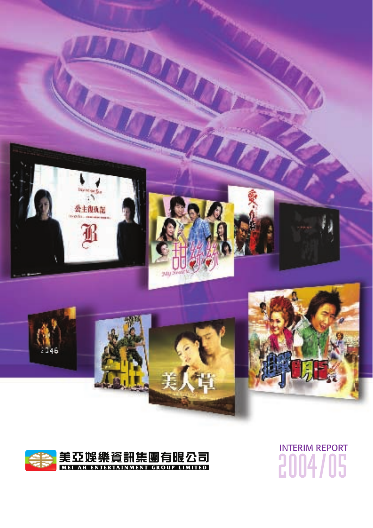



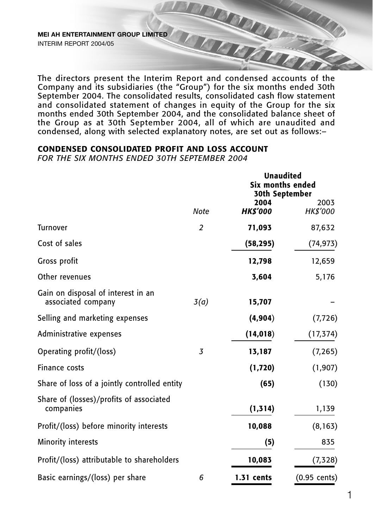The directors present the Interim Report and condensed accounts of the Company and its subsidiaries (the "Group") for the six months ended 30th September 2004. The consolidated results, consolidated cash flow statement and consolidated statement of changes in equity of the Group for the six months ended 30th September 2004, and the consolidated balance sheet of the Group as at 30th September 2004, all of which are unaudited and condensed, along with selected explanatory notes, are set out as follows:–

ET A

### **CONDENSED CONSOLIDATED PROFIT AND LOSS ACCOUNT**

*FOR THE SIX MONTHS ENDED 30TH SEPTEMBER 2004*

|                                                          |                | <b>Unaudited</b><br>Six months ended<br>30th September |                         |
|----------------------------------------------------------|----------------|--------------------------------------------------------|-------------------------|
|                                                          | <b>Note</b>    | 2004<br><b>HKS'000</b>                                 | 2003<br><b>HK\$'000</b> |
| <b>Turnover</b>                                          | $\overline{2}$ | 71,093                                                 | 87,632                  |
| Cost of sales                                            |                | (58, 295)                                              | (74, 973)               |
| Gross profit                                             |                | 12,798                                                 | 12,659                  |
| Other revenues                                           |                | 3,604                                                  | 5,176                   |
| Gain on disposal of interest in an<br>associated company | 3(a)           | 15,707                                                 |                         |
| Selling and marketing expenses                           |                | (4,904)                                                | (7, 726)                |
| Administrative expenses                                  |                | (14, 018)                                              | (17, 374)               |
| Operating profit/(loss)                                  | 3              | 13,187                                                 | (7, 265)                |
| Finance costs                                            |                | (1, 720)                                               | (1, 907)                |
| Share of loss of a jointly controlled entity             |                | (65)                                                   | (130)                   |
| Share of (losses)/profits of associated<br>companies     |                | (1, 314)                                               | 1,139                   |
| Profit/(loss) before minority interests                  |                | 10,088                                                 | (8, 163)                |
| Minority interests                                       |                | (5)                                                    | 835                     |
| Profit/(loss) attributable to shareholders               |                | 10,083                                                 | (7, 328)                |
| Basic earnings/(loss) per share                          | 6              | 1.31 cents                                             | $(0.95$ cents)          |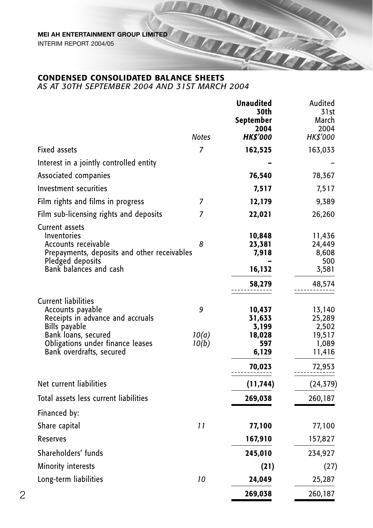INTERIM REPORT 2004/05

### **CONDENSED CONSOLIDATED BALANCE SHEETS** *AS AT 30TH SEPTEMBER 2004 AND 31ST MARCH 2004*

|                                                              |                | <b>Unaudited</b><br>30th | Audited<br>31st  |
|--------------------------------------------------------------|----------------|--------------------------|------------------|
|                                                              |                | September<br>2004        | March<br>2004    |
|                                                              | Notes          | <b>HK\$'000</b>          | <b>HK\$'000</b>  |
| <b>Fixed assets</b>                                          | $\overline{7}$ | 162,525                  | 163,033          |
| Interest in a jointly controlled entity                      |                |                          |                  |
| Associated companies                                         |                | 76,540                   | 78,367           |
| Investment securities                                        |                | 7,517                    | 7,517            |
| Film rights and films in progress                            | 7              | 12,179                   | 9,389            |
| Film sub-licensing rights and deposits                       | 7              | 22,021                   | 26,260           |
| Current assets                                               |                |                          |                  |
| Inventories<br>Accounts receivable                           | 8              | 10,848<br>23,381         | 11,436<br>24,449 |
| Prepayments, deposits and other receivables                  |                | 7,918                    | 8,608            |
| Pledged deposits<br>Bank balances and cash                   |                | 16,132                   | 500<br>3,581     |
|                                                              |                |                          |                  |
|                                                              |                | 58,279                   | 48,574           |
| <b>Current liabilities</b>                                   |                |                          |                  |
| Accounts payable<br>Receipts in advance and accruals         | 9              | 10,437<br>31,633         | 13,140<br>25,289 |
| Bills payable                                                |                | 3,199                    | 2,502            |
| Bank loans, secured                                          | 10(a)          | 18,028                   | 19,517           |
| Obligations under finance leases<br>Bank overdrafts, secured | 10(b)          | 597<br>6,129             | 1,089<br>11,416  |
|                                                              |                | 70,023                   | 72,953           |
| Net current liabilities                                      |                | (11, 744)                | (24, 379)        |
| Total assets less current liabilities                        |                | 269,038                  | 260,187          |
| Financed by:                                                 |                |                          |                  |
| Share capital                                                | 11             | 77,100                   | 77,100           |
| Reserves                                                     |                | 167,910                  | 157,827          |
| Shareholders' funds                                          |                | 245,010                  | 234,927          |
| Minority interests                                           |                | (21)                     | (27)             |
| Long-term liabilities                                        | 10             | 24,049                   | 25,287           |
|                                                              |                | 269,038                  | 260,187          |

THE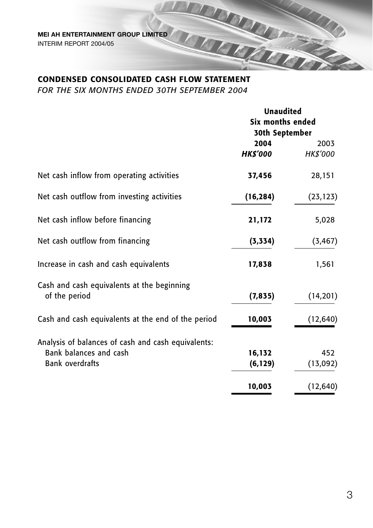

## **CONDENSED CONSOLIDATED CASH FLOW STATEMENT** *FOR THE SIX MONTHS ENDED 30TH SEPTEMBER 2004*

|                                                                                                        | <b>Unaudited</b><br>Six months ended<br><b>30th September</b> |                         |
|--------------------------------------------------------------------------------------------------------|---------------------------------------------------------------|-------------------------|
|                                                                                                        | 2004<br><b>HKS'000</b>                                        | 2003<br><b>HK\$'000</b> |
| Net cash inflow from operating activities                                                              | 37,456                                                        | 28,151                  |
| Net cash outflow from investing activities                                                             | (16, 284)                                                     | (23, 123)               |
| Net cash inflow before financing                                                                       | 21,172                                                        | 5,028                   |
| Net cash outflow from financing                                                                        | (3, 334)                                                      | (3, 467)                |
| Increase in cash and cash equivalents                                                                  | 17,838                                                        | 1,561                   |
| Cash and cash equivalents at the beginning<br>of the period                                            | (7, 835)                                                      | (14, 201)               |
| Cash and cash equivalents at the end of the period                                                     | 10,003                                                        | (12, 640)               |
| Analysis of balances of cash and cash equivalents:<br>Bank balances and cash<br><b>Bank overdrafts</b> | 16,132<br>(6, 129)                                            | 452<br>(13,092)         |
|                                                                                                        | 10,003                                                        | (12, 640)               |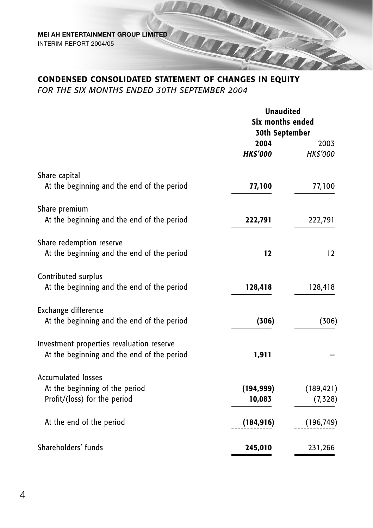# **CONDENSED CONSOLIDATED STATEMENT OF CHANGES IN EQUITY** *FOR THE SIX MONTHS ENDED 30TH SEPTEMBER 2004*

LITA

|                                                                                             | <b>Unaudited</b><br><b>Six months ended</b><br>30th September |                        |  |
|---------------------------------------------------------------------------------------------|---------------------------------------------------------------|------------------------|--|
|                                                                                             | 2004                                                          | 2003                   |  |
|                                                                                             | <b>HK\$'000</b>                                               | HK\$'000               |  |
| Share capital<br>At the beginning and the end of the period                                 | 77,100                                                        | 77,100                 |  |
| Share premium<br>At the beginning and the end of the period                                 | 222,791                                                       | 222,791                |  |
| Share redemption reserve<br>At the beginning and the end of the period                      | 12                                                            | 12                     |  |
| Contributed surplus<br>At the beginning and the end of the period                           | 128,418                                                       | 128,418                |  |
| Exchange difference<br>At the beginning and the end of the period                           | (306)                                                         | (306)                  |  |
| Investment properties revaluation reserve<br>At the beginning and the end of the period     | 1,911                                                         |                        |  |
| <b>Accumulated losses</b><br>At the beginning of the period<br>Profit/(loss) for the period | (194, 999)<br>10,083                                          | (189, 421)<br>(7, 328) |  |
| At the end of the period                                                                    | (184, 916)                                                    | (196, 749)             |  |
| Shareholders' funds                                                                         | 245,010                                                       | 231,266                |  |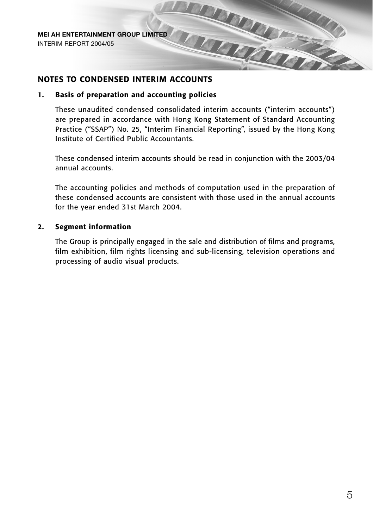

# **NOTES TO CONDENSED INTERIM ACCOUNTS**

### **1. Basis of preparation and accounting policies**

These unaudited condensed consolidated interim accounts ("interim accounts") are prepared in accordance with Hong Kong Statement of Standard Accounting Practice ("SSAP") No. 25, "Interim Financial Reporting", issued by the Hong Kong Institute of Certified Public Accountants.

These condensed interim accounts should be read in conjunction with the 2003/04 annual accounts.

The accounting policies and methods of computation used in the preparation of these condensed accounts are consistent with those used in the annual accounts for the year ended 31st March 2004.

## **2. Segment information**

The Group is principally engaged in the sale and distribution of films and programs, film exhibition, film rights licensing and sub-licensing, television operations and processing of audio visual products.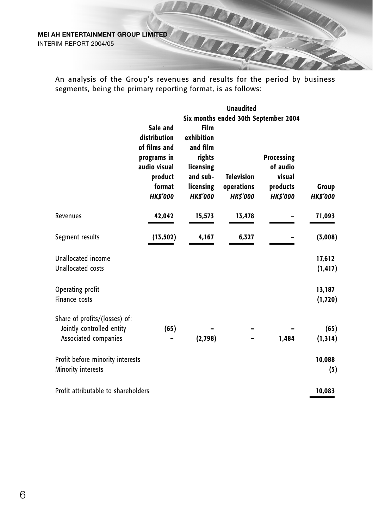An analysis of the Group's revenues and results for the period by business segments, being the primary reporting format, is as follows:

THERE

|                                                        |                                                                     |                                                                 | <b>Unaudited</b>                                   |                                                                 |                          |
|--------------------------------------------------------|---------------------------------------------------------------------|-----------------------------------------------------------------|----------------------------------------------------|-----------------------------------------------------------------|--------------------------|
|                                                        |                                                                     |                                                                 |                                                    | Six months ended 30th September 2004                            |                          |
|                                                        | Sale and<br>distribution<br>of films and                            | Film<br>exhibition<br>and film                                  |                                                    |                                                                 |                          |
|                                                        | programs in<br>audio visual<br>product<br>format<br><b>HK\$'000</b> | rights<br>licensing<br>and sub-<br>licensing<br><b>HK\$'000</b> | <b>Television</b><br>operations<br><b>HK\$'000</b> | Processing<br>of audio<br>visual<br>products<br><b>HK\$'000</b> | Group<br><b>HK\$'000</b> |
| Revenues                                               | 42,042                                                              | 15,573                                                          | 13,478                                             |                                                                 | 71,093                   |
| Segment results                                        | (13, 502)                                                           | 4,167                                                           | 6,327                                              |                                                                 | (3,008)                  |
| Unallocated income                                     |                                                                     |                                                                 |                                                    |                                                                 | 17,612                   |
| Unallocated costs                                      |                                                                     |                                                                 |                                                    |                                                                 | (1, 417)                 |
| Operating profit                                       |                                                                     |                                                                 |                                                    |                                                                 | 13,187                   |
| Finance costs                                          |                                                                     |                                                                 |                                                    |                                                                 | (1, 720)                 |
| Share of profits/(losses) of:                          |                                                                     |                                                                 |                                                    |                                                                 |                          |
| Jointly controlled entity<br>Associated companies      | (65)                                                                | (2,798)                                                         |                                                    | 1,484                                                           | (65)<br>(1,314)          |
| Profit before minority interests<br>Minority interests |                                                                     |                                                                 |                                                    |                                                                 | 10,088<br>(5)            |
| Profit attributable to shareholders                    |                                                                     |                                                                 |                                                    |                                                                 | 10,083                   |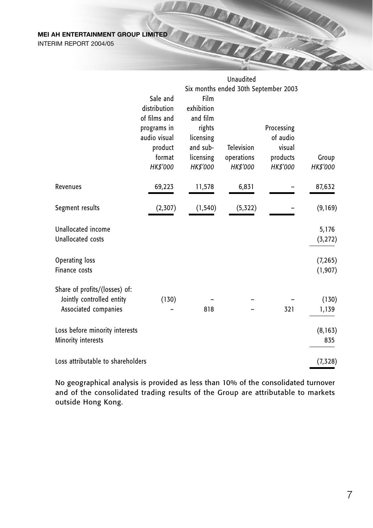INTERIM REPORT 2004/05

|                                                                                    | Sale and<br>distribution<br>of films and<br>programs in | Film<br>exhibition<br>and film<br>rights              | Unaudited<br>Six months ended 30th September 2003 | Processing                                        |                          |
|------------------------------------------------------------------------------------|---------------------------------------------------------|-------------------------------------------------------|---------------------------------------------------|---------------------------------------------------|--------------------------|
|                                                                                    | audio visual<br>product<br>format<br><b>HK\$'000</b>    | licensing<br>and sub-<br>licensing<br><b>HK\$'000</b> | <b>Television</b><br>operations<br>HK\$'000       | of audio<br>visual<br>products<br><b>HK\$'000</b> | Group<br><b>HK\$'000</b> |
| Revenues                                                                           | 69,223                                                  | 11,578                                                | 6,831                                             |                                                   | 87,632                   |
| Segment results                                                                    | (2,307)                                                 | (1, 540)                                              | (5, 322)                                          |                                                   | (9,169)                  |
| Unallocated income<br>Unallocated costs                                            |                                                         |                                                       |                                                   |                                                   | 5,176<br>(3,272)         |
| Operating loss<br>Finance costs                                                    |                                                         |                                                       |                                                   |                                                   | (7, 265)<br>(1, 907)     |
| Share of profits/(losses) of:<br>Jointly controlled entity<br>Associated companies | (130)                                                   | 818                                                   |                                                   | 321                                               | (130)<br>1,139           |
| Loss before minority interests<br>Minority interests                               |                                                         |                                                       |                                                   |                                                   | (8, 163)<br>835          |
| Loss attributable to shareholders                                                  |                                                         |                                                       |                                                   |                                                   | (7, 328)                 |

THERE

No geographical analysis is provided as less than 10% of the consolidated turnover and of the consolidated trading results of the Group are attributable to markets outside Hong Kong.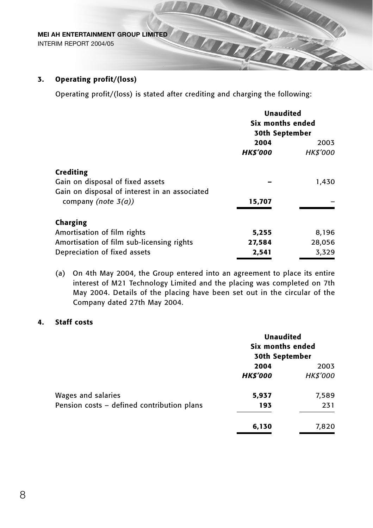INTERIM REPORT 2004/05

## **3. Operating profit/(loss)**

Operating profit/(loss) is stated after crediting and charging the following:

THE REAL

|                                                                                                                          | <b>Unaudited</b><br>Six months ended<br>30th September |                          |
|--------------------------------------------------------------------------------------------------------------------------|--------------------------------------------------------|--------------------------|
|                                                                                                                          | 2004<br><b>HKS'000</b>                                 | 2003<br><b>HK\$'000</b>  |
| Crediting<br>Gain on disposal of fixed assets<br>Gain on disposal of interest in an associated<br>company (note $3(a)$ ) | 15,707                                                 | 1,430                    |
| Charging<br>Amortisation of film rights<br>Amortisation of film sub-licensing rights<br>Depreciation of fixed assets     | 5,255<br>27,584<br>2,541                               | 8,196<br>28,056<br>3,329 |

(a) On 4th May 2004, the Group entered into an agreement to place its entire interest of M21 Technology Limited and the placing was completed on 7th May 2004. Details of the placing have been set out in the circular of the Company dated 27th May 2004.

### **4. Staff costs**

|                                            | Unaudited<br>Six months ended<br>30th September |                         |
|--------------------------------------------|-------------------------------------------------|-------------------------|
|                                            | 2004<br><b>HK\$'000</b>                         | 2003<br><b>HK\$'000</b> |
| Wages and salaries                         |                                                 |                         |
| Pension costs - defined contribution plans | 5,937<br>193                                    | 7,589<br>231            |
|                                            | 6,130                                           | 7,820                   |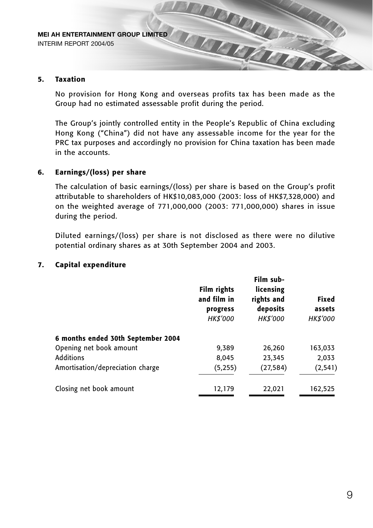INTERIM REPORT 2004/05

### **5. Taxation**

No provision for Hong Kong and overseas profits tax has been made as the Group had no estimated assessable profit during the period.

THE

The Group's jointly controlled entity in the People's Republic of China excluding Hong Kong ("China") did not have any assessable income for the year for the PRC tax purposes and accordingly no provision for China taxation has been made in the accounts.

### **6. Earnings/(loss) per share**

The calculation of basic earnings/(loss) per share is based on the Group's profit attributable to shareholders of HK\$10,083,000 (2003: loss of HK\$7,328,000) and on the weighted average of 771,000,000 (2003: 771,000,000) shares in issue during the period.

Diluted earnings/(loss) per share is not disclosed as there were no dilutive potential ordinary shares as at 30th September 2004 and 2003.

# **7. Capital expenditure**

|                                    | Film rights<br>and film in<br>progress<br><b>HK\$'000</b> | Film sub-<br>licensing<br>rights and<br>deposits<br><b>HK\$'000</b> | Fixed<br>assets<br><b>HK\$'000</b> |
|------------------------------------|-----------------------------------------------------------|---------------------------------------------------------------------|------------------------------------|
| 6 months ended 30th September 2004 |                                                           |                                                                     |                                    |
| Opening net book amount            | 9.389                                                     | 26,260                                                              | 163,033                            |
| <b>Additions</b>                   | 8.045                                                     | 23,345                                                              | 2,033                              |
| Amortisation/depreciation charge   | (5,255)                                                   | (27, 584)                                                           | (2, 541)                           |
| Closing net book amount            | 12,179                                                    | 22,021                                                              | 162,525                            |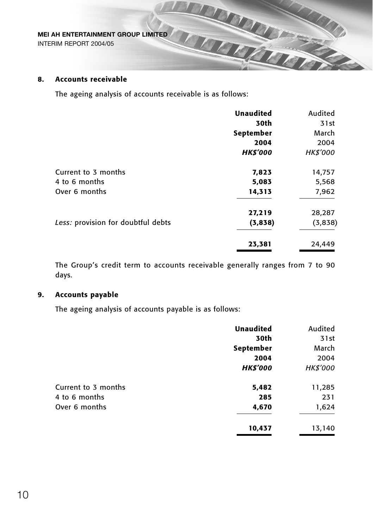INTERIM REPORT 2004/05

### **8. Accounts receivable**

The ageing analysis of accounts receivable is as follows:

|                                    | <b>Unaudited</b> | Audited         |
|------------------------------------|------------------|-----------------|
|                                    | 30th             | 31st            |
|                                    | September        | March           |
|                                    | 2004             | 2004            |
|                                    | <b>HKS'000</b>   | <b>HK\$'000</b> |
| Current to 3 months                | 7,823            | 14,757          |
| 4 to 6 months                      | 5,083            | 5,568           |
| Over 6 months                      | 14,313           | 7,962           |
|                                    | 27,219           | 28,287          |
| Less: provision for doubtful debts | (3,838)          | (3,838)         |
|                                    | 23,381           | 24,449          |

THE REAL PROPERTY

The Group's credit term to accounts receivable generally ranges from 7 to 90 days.

## **9. Accounts payable**

The ageing analysis of accounts payable is as follows:

| <b>Unaudited</b> | Audited         |
|------------------|-----------------|
| 30th             | 31st            |
| September        | March           |
| 2004             | 2004            |
| <b>HK\$'000</b>  | <b>HK\$'000</b> |
| 5,482            | 11,285          |
| 285              | 231             |
| 4,670            | 1,624           |
| 10,437           | 13,140          |
|                  |                 |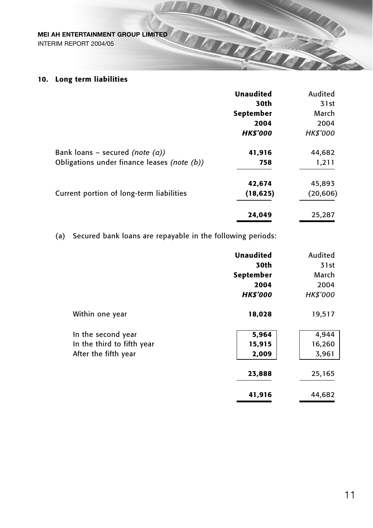INTERIM REPORT 2004/05

## **10. Long term liabilities**

|                                             | <b>Unaudited</b> | Audited         |
|---------------------------------------------|------------------|-----------------|
|                                             | 30th             | 31st            |
|                                             | September        | March           |
|                                             | 2004             | 2004            |
|                                             | <b>HKS'000</b>   | <b>HK\$'000</b> |
| Bank loans – secured <i>(note (a))</i>      | 41,916           | 44,682          |
| Obligations under finance leases (note (b)) | 758              | 1,211           |
|                                             | 42,674           | 45,893          |
| Current portion of long-term liabilities    | (18, 625)        | (20, 606)       |
|                                             | 24,049           | 25,287          |

THE REAL PROPERTY

THE R

(a) Secured bank loans are repayable in the following periods:

|                            | <b>Unaudited</b> | Audited         |
|----------------------------|------------------|-----------------|
|                            | 30th             | 31st            |
|                            | September        | March           |
|                            | 2004             | 2004            |
|                            | <b>HK\$'000</b>  | <b>HK\$'000</b> |
| Within one year            | 18,028           | 19,517          |
| In the second year         | 5,964            | 4,944           |
| In the third to fifth year | 15,915           | 16,260          |
| After the fifth year       | 2,009            | 3,961           |
|                            | 23,888           | 25,165          |
|                            | 41,916           | 44,682          |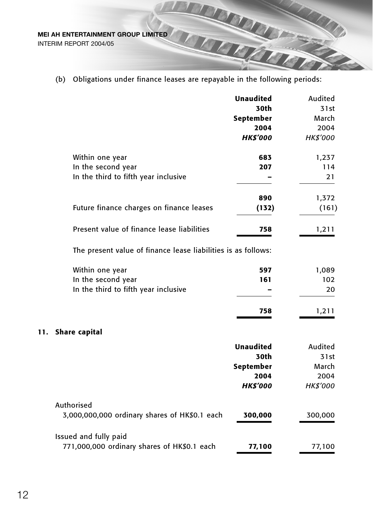INTERIM REPORT 2004/05

(b) Obligations under finance leases are repayable in the following periods:

THE REAL

|                                            | <b>Unaudited</b> | Audited         |
|--------------------------------------------|------------------|-----------------|
|                                            | 30th             | 31st            |
|                                            | September        | March           |
|                                            | 2004             | 2004            |
|                                            | <b>HKS'000</b>   | <b>HK\$'000</b> |
| Within one year                            | 683              | 1,237           |
| In the second year                         | 207              | 114             |
| In the third to fifth year inclusive       |                  | 21              |
|                                            | 890              | 1,372           |
| Future finance charges on finance leases   | (132)            | (161)           |
| Present value of finance lease liabilities | 758              | 1,211           |

The present value of finance lease liabilities is as follows:

| Within one year                      | 597 | 1.089 |
|--------------------------------------|-----|-------|
| In the second year                   | 161 | 102   |
| In the third to fifth year inclusive | -   | 20.   |
|                                      | 758 | 1.211 |

## **11. Share capital**

|                                               | <b>Unaudited</b> | Audited         |
|-----------------------------------------------|------------------|-----------------|
|                                               | 30th             | 31st            |
|                                               | September        | March           |
|                                               | 2004             | 2004            |
|                                               | <b>HKS'000</b>   | <b>HK\$'000</b> |
| Authorised                                    |                  |                 |
| 3,000,000,000 ordinary shares of HK\$0.1 each | 300,000          | 300,000         |
| Issued and fully paid                         |                  |                 |
| 771,000,000 ordinary shares of HK\$0.1 each   | 77,100           | 77,100          |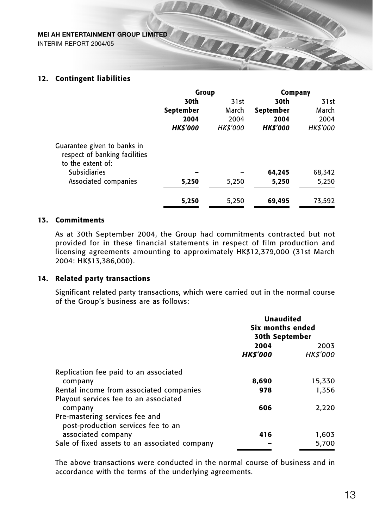INTERIM REPORT 2004/05

### **12. Contingent liabilities**

|                                                                                   | Group           |                 | Company         |                 |
|-----------------------------------------------------------------------------------|-----------------|-----------------|-----------------|-----------------|
|                                                                                   | 30th            | 31st            | 30th            | 31st            |
|                                                                                   | September       | March           | September       | March           |
|                                                                                   | 2004            | 2004            | 2004            | 2004            |
|                                                                                   | <b>HK\$'000</b> | <b>HK\$'000</b> | <b>HK\$'000</b> | <b>HK\$'000</b> |
| Guarantee given to banks in<br>respect of banking facilities<br>to the extent of: |                 |                 |                 |                 |
| <b>Subsidiaries</b>                                                               |                 |                 | 64,245          | 68,342          |
| Associated companies                                                              | 5,250           | 5,250           | 5,250           | 5,250           |
|                                                                                   | 5,250           | 5,250           | 69,495          | 73,592          |

THE REAL

#### **13. Commitments**

As at 30th September 2004, the Group had commitments contracted but not provided for in these financial statements in respect of film production and licensing agreements amounting to approximately HK\$12,379,000 (31st March 2004: HK\$13,386,000).

#### **14. Related party transactions**

Significant related party transactions, which were carried out in the normal course of the Group's business are as follows:

| <b>Unaudited</b><br>Six months ended<br><b>30th September</b> |                         |
|---------------------------------------------------------------|-------------------------|
| 2004<br><b>HKS'000</b>                                        | 2003<br><b>HK\$'000</b> |
| 8,690                                                         | 15,330                  |
| 978                                                           | 1,356                   |
| 606                                                           | 2,220                   |
| 416                                                           | 1,603<br>5,700          |
|                                                               |                         |

The above transactions were conducted in the normal course of business and in accordance with the terms of the underlying agreements.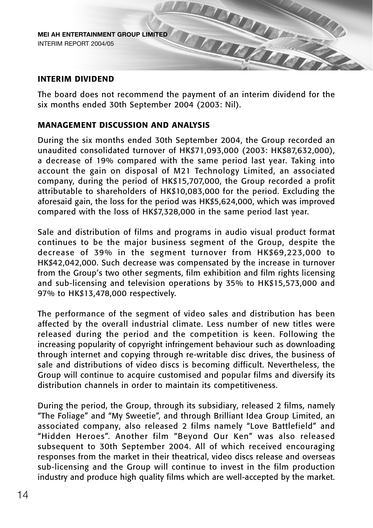

## **INTERIM DIVIDEND**

The board does not recommend the payment of an interim dividend for the six months ended 30th September 2004 (2003: Nil).

# **MANAGEMENT DISCUSSION AND ANALYSIS**

During the six months ended 30th September 2004, the Group recorded an unaudited consolidated turnover of HK\$71,093,000 (2003: HK\$87,632,000), a decrease of 19% compared with the same period last year. Taking into account the gain on disposal of M21 Technology Limited, an associated company, during the period of HK\$15,707,000, the Group recorded a profit attributable to shareholders of HK\$10,083,000 for the period. Excluding the aforesaid gain, the loss for the period was HK\$5,624,000, which was improved compared with the loss of HK\$7,328,000 in the same period last year.

Sale and distribution of films and programs in audio visual product format continues to be the major business segment of the Group, despite the decrease of 39% in the segment turnover from HK\$69,223,000 to HK\$42,042,000. Such decrease was compensated by the increase in turnover from the Group's two other segments, film exhibition and film rights licensing and sub-licensing and television operations by 35% to HK\$15,573,000 and 97% to HK\$13,478,000 respectively.

The performance of the segment of video sales and distribution has been affected by the overall industrial climate. Less number of new titles were released during the period and the competition is keen. Following the increasing popularity of copyright infringement behaviour such as downloading through internet and copying through re-writable disc drives, the business of sale and distributions of video discs is becoming difficult. Nevertheless, the Group will continue to acquire customised and popular films and diversify its distribution channels in order to maintain its competitiveness.

During the period, the Group, through its subsidiary, released 2 films, namely "The Foliage" and "My Sweetie", and through Brilliant Idea Group Limited, an associated company, also released 2 films namely "Love Battlefield" and "Hidden Heroes". Another film "Beyond Our Ken" was also released subsequent to 30th September 2004. All of which received encouraging responses from the market in their theatrical, video discs release and overseas sub-licensing and the Group will continue to invest in the film production industry and produce high quality films which are well-accepted by the market.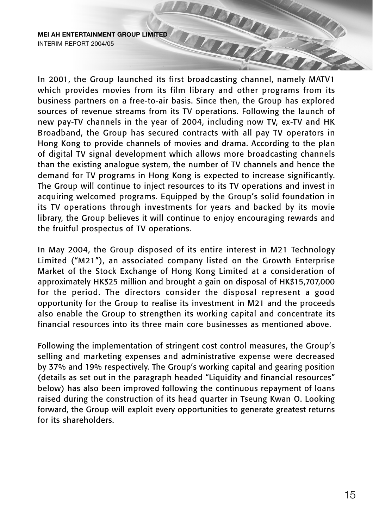In 2001, the Group launched its first broadcasting channel, namely MATV1 which provides movies from its film library and other programs from its business partners on a free-to-air basis. Since then, the Group has explored sources of revenue streams from its TV operations. Following the launch of new pay-TV channels in the year of 2004, including now TV, ex-TV and HK Broadband, the Group has secured contracts with all pay TV operators in Hong Kong to provide channels of movies and drama. According to the plan of digital TV signal development which allows more broadcasting channels than the existing analogue system, the number of TV channels and hence the demand for TV programs in Hong Kong is expected to increase significantly. The Group will continue to inject resources to its TV operations and invest in acquiring welcomed programs. Equipped by the Group's solid foundation in its TV operations through investments for years and backed by its movie library, the Group believes it will continue to enjoy encouraging rewards and the fruitful prospectus of TV operations.

The Party

In May 2004, the Group disposed of its entire interest in M21 Technology Limited ("M21"), an associated company listed on the Growth Enterprise Market of the Stock Exchange of Hong Kong Limited at a consideration of approximately HK\$25 million and brought a gain on disposal of HK\$15,707,000 for the period. The directors consider the disposal represent a good opportunity for the Group to realise its investment in M21 and the proceeds also enable the Group to strengthen its working capital and concentrate its financial resources into its three main core businesses as mentioned above.

Following the implementation of stringent cost control measures, the Group's selling and marketing expenses and administrative expense were decreased by 37% and 19% respectively. The Group's working capital and gearing position (details as set out in the paragraph headed "Liquidity and financial resources" below) has also been improved following the continuous repayment of loans raised during the construction of its head quarter in Tseung Kwan O. Looking forward, the Group will exploit every opportunities to generate greatest returns for its shareholders.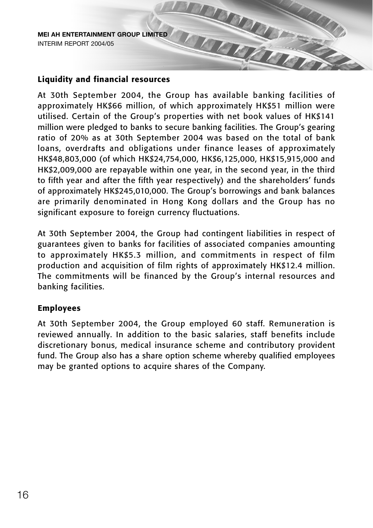# **Liquidity and financial resources**

At 30th September 2004, the Group has available banking facilities of approximately HK\$66 million, of which approximately HK\$51 million were utilised. Certain of the Group's properties with net book values of HK\$141 million were pledged to banks to secure banking facilities. The Group's gearing ratio of 20% as at 30th September 2004 was based on the total of bank loans, overdrafts and obligations under finance leases of approximately HK\$48,803,000 (of which HK\$24,754,000, HK\$6,125,000, HK\$15,915,000 and HK\$2,009,000 are repayable within one year, in the second year, in the third to fifth year and after the fifth year respectively) and the shareholders' funds of approximately HK\$245,010,000. The Group's borrowings and bank balances are primarily denominated in Hong Kong dollars and the Group has no significant exposure to foreign currency fluctuations.

THE R

At 30th September 2004, the Group had contingent liabilities in respect of guarantees given to banks for facilities of associated companies amounting to approximately HK\$5.3 million, and commitments in respect of film production and acquisition of film rights of approximately HK\$12.4 million. The commitments will be financed by the Group's internal resources and banking facilities.

## **Employees**

At 30th September 2004, the Group employed 60 staff. Remuneration is reviewed annually. In addition to the basic salaries, staff benefits include discretionary bonus, medical insurance scheme and contributory provident fund. The Group also has a share option scheme whereby qualified employees may be granted options to acquire shares of the Company.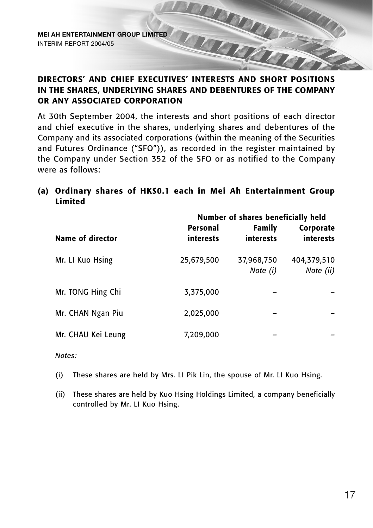# **DIRECTORS' AND CHIEF EXECUTIVES' INTERESTS AND SHORT POSITIONS IN THE SHARES, UNDERLYING SHARES AND DEBENTURES OF THE COMPANY OR ANY ASSOCIATED CORPORATION**

THE R

At 30th September 2004, the interests and short positions of each director and chief executive in the shares, underlying shares and debentures of the Company and its associated corporations (within the meaning of the Securities and Futures Ordinance ("SFO")), as recorded in the register maintained by the Company under Section 352 of the SFO or as notified to the Company were as follows:

# **(a) Ordinary shares of HK\$0.1 each in Mei Ah Entertainment Group Limited**

|            | Number of shares beneficially held |                          |
|------------|------------------------------------|--------------------------|
| Personal   | <b>Family</b>                      | Corporate                |
|            |                                    | <i>interests</i>         |
| 25,679,500 | 37,968,750                         | 404,379,510<br>Note (ii) |
|            |                                    |                          |
| 3,375,000  |                                    |                          |
| 2,025,000  |                                    |                          |
| 7,209,000  |                                    |                          |
|            | interests                          | interests<br>Note (i)    |

*Notes:*

- (i) These shares are held by Mrs. LI Pik Lin, the spouse of Mr. LI Kuo Hsing.
- (ii) These shares are held by Kuo Hsing Holdings Limited, a company beneficially controlled by Mr. LI Kuo Hsing.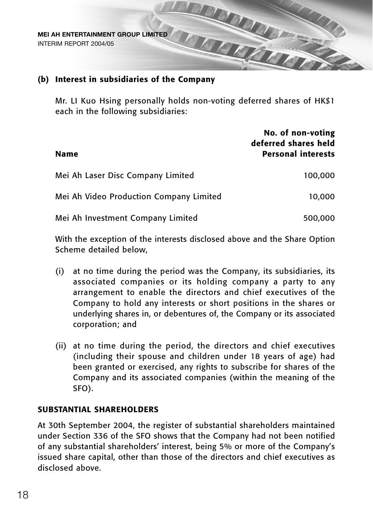

# **(b) Interest in subsidiaries of the Company**

Mr. LI Kuo Hsing personally holds non-voting deferred shares of HK\$1 each in the following subsidiaries:

| <b>Name</b>                             | No. of non-voting<br>deferred shares held<br><b>Personal interests</b> |
|-----------------------------------------|------------------------------------------------------------------------|
| Mei Ah Laser Disc Company Limited       | 100,000                                                                |
| Mei Ah Video Production Company Limited | 10,000                                                                 |
| Mei Ah Investment Company Limited       | 500,000                                                                |

With the exception of the interests disclosed above and the Share Option Scheme detailed below,

- (i) at no time during the period was the Company, its subsidiaries, its associated companies or its holding company a party to any arrangement to enable the directors and chief executives of the Company to hold any interests or short positions in the shares or underlying shares in, or debentures of, the Company or its associated corporation; and
- (ii) at no time during the period, the directors and chief executives (including their spouse and children under 18 years of age) had been granted or exercised, any rights to subscribe for shares of the Company and its associated companies (within the meaning of the SFO).

# **SUBSTANTIAL SHAREHOLDERS**

At 30th September 2004, the register of substantial shareholders maintained under Section 336 of the SFO shows that the Company had not been notified of any substantial shareholders' interest, being 5% or more of the Company's issued share capital, other than those of the directors and chief executives as disclosed above.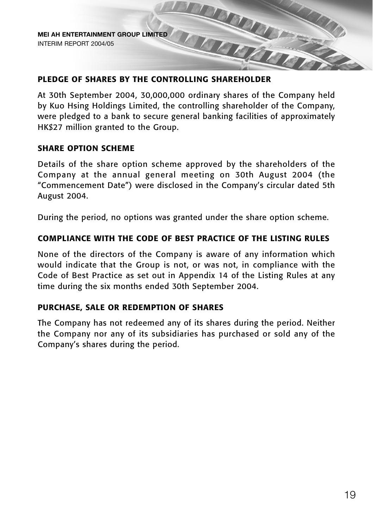

# **PLEDGE OF SHARES BY THE CONTROLLING SHAREHOLDER**

At 30th September 2004, 30,000,000 ordinary shares of the Company held by Kuo Hsing Holdings Limited, the controlling shareholder of the Company, were pledged to a bank to secure general banking facilities of approximately HK\$27 million granted to the Group.

# **SHARE OPTION SCHEME**

Details of the share option scheme approved by the shareholders of the Company at the annual general meeting on 30th August 2004 (the "Commencement Date") were disclosed in the Company's circular dated 5th August 2004.

During the period, no options was granted under the share option scheme.

# **COMPLIANCE WITH THE CODE OF BEST PRACTICE OF THE LISTING RULES**

None of the directors of the Company is aware of any information which would indicate that the Group is not, or was not, in compliance with the Code of Best Practice as set out in Appendix 14 of the Listing Rules at any time during the six months ended 30th September 2004.

## **PURCHASE, SALE OR REDEMPTION OF SHARES**

The Company has not redeemed any of its shares during the period. Neither the Company nor any of its subsidiaries has purchased or sold any of the Company's shares during the period.